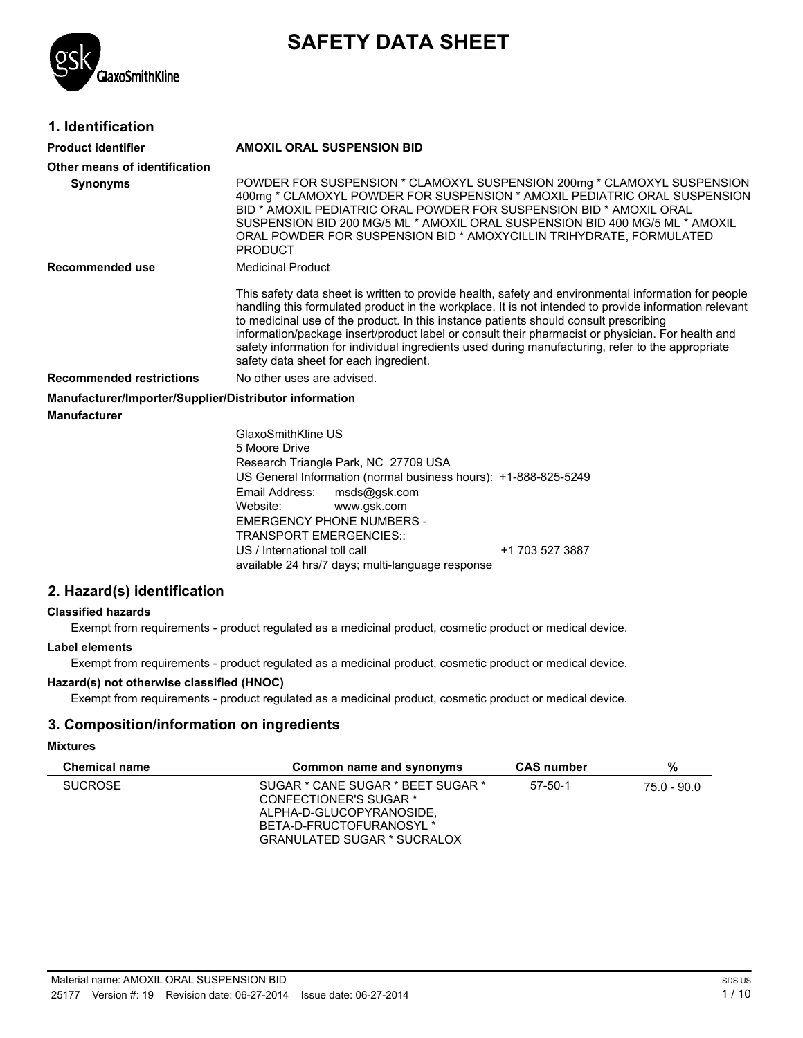# **SAFETY DATA SHEET**



### **1. Identification**

| <b>Product identifier</b>                              | <b>AMOXIL ORAL SUSPENSION BID</b>                                                                                                                                                                                                                                                                                                                                                                                                                                                                                                                          |  |  |
|--------------------------------------------------------|------------------------------------------------------------------------------------------------------------------------------------------------------------------------------------------------------------------------------------------------------------------------------------------------------------------------------------------------------------------------------------------------------------------------------------------------------------------------------------------------------------------------------------------------------------|--|--|
| Other means of identification                          |                                                                                                                                                                                                                                                                                                                                                                                                                                                                                                                                                            |  |  |
| <b>Synonyms</b>                                        | POWDER FOR SUSPENSION * CLAMOXYL SUSPENSION 200mg * CLAMOXYL SUSPENSION<br>400mg * CLAMOXYL POWDER FOR SUSPENSION * AMOXIL PEDIATRIC ORAL SUSPENSION<br>BID * AMOXIL PEDIATRIC ORAL POWDER FOR SUSPENSION BID * AMOXIL ORAL<br>SUSPENSION BID 200 MG/5 ML * AMOXIL ORAL SUSPENSION BID 400 MG/5 ML * AMOXIL<br>ORAL POWDER FOR SUSPENSION BID * AMOXYCILLIN TRIHYDRATE, FORMULATED<br><b>PRODUCT</b>                                                                                                                                                       |  |  |
| Recommended use                                        | <b>Medicinal Product</b>                                                                                                                                                                                                                                                                                                                                                                                                                                                                                                                                   |  |  |
|                                                        | This safety data sheet is written to provide health, safety and environmental information for people<br>handling this formulated product in the workplace. It is not intended to provide information relevant<br>to medicinal use of the product. In this instance patients should consult prescribing<br>information/package insert/product label or consult their pharmacist or physician. For health and<br>safety information for individual ingredients used during manufacturing, refer to the appropriate<br>safety data sheet for each ingredient. |  |  |
| <b>Recommended restrictions</b>                        | No other uses are advised.                                                                                                                                                                                                                                                                                                                                                                                                                                                                                                                                 |  |  |
| Manufacturer/Importer/Supplier/Distributor information |                                                                                                                                                                                                                                                                                                                                                                                                                                                                                                                                                            |  |  |
| <b>Manufacturer</b>                                    |                                                                                                                                                                                                                                                                                                                                                                                                                                                                                                                                                            |  |  |
|                                                        | GlaxoSmithKline US<br>5 Moore Drive<br>Research Triangle Park, NC 27709 USA<br>US General Information (normal business hours): +1-888-825-5249<br>Email Address:<br>msds@gsk.com<br>www.qsk.com<br>Website:<br><b>EMERGENCY PHONE NUMBERS -</b><br><b>TRANSPORT EMERGENCIES::</b><br>$1.4$ 700 $F$ 07 0007                                                                                                                                                                                                                                                 |  |  |

US / International toll call  $+1$  703 527 3887 available 24 hrs/7 days; multi-language response

### **2. Hazard(s) identification**

### **Classified hazards**

Exempt from requirements - product regulated as a medicinal product, cosmetic product or medical device.

### **Label elements**

Exempt from requirements - product regulated as a medicinal product, cosmetic product or medical device.

### **Hazard(s) not otherwise classified (HNOC)**

Exempt from requirements - product regulated as a medicinal product, cosmetic product or medical device.

### **3. Composition/information on ingredients**

#### **Mixtures**

| <b>Chemical name</b> | Common name and synonyms                                                                                                                           | <b>CAS</b> number | %           |
|----------------------|----------------------------------------------------------------------------------------------------------------------------------------------------|-------------------|-------------|
| <b>SUCROSE</b>       | SUGAR * CANE SUGAR * BEET SUGAR *<br>CONFECTIONER'S SUGAR *<br>ALPHA-D-GLUCOPYRANOSIDE.<br>BETA-D-FRUCTOFURANOSYL *<br>GRANULATED SUGAR * SUCRALOX | $57 - 50 - 1$     | 75.0 - 90.0 |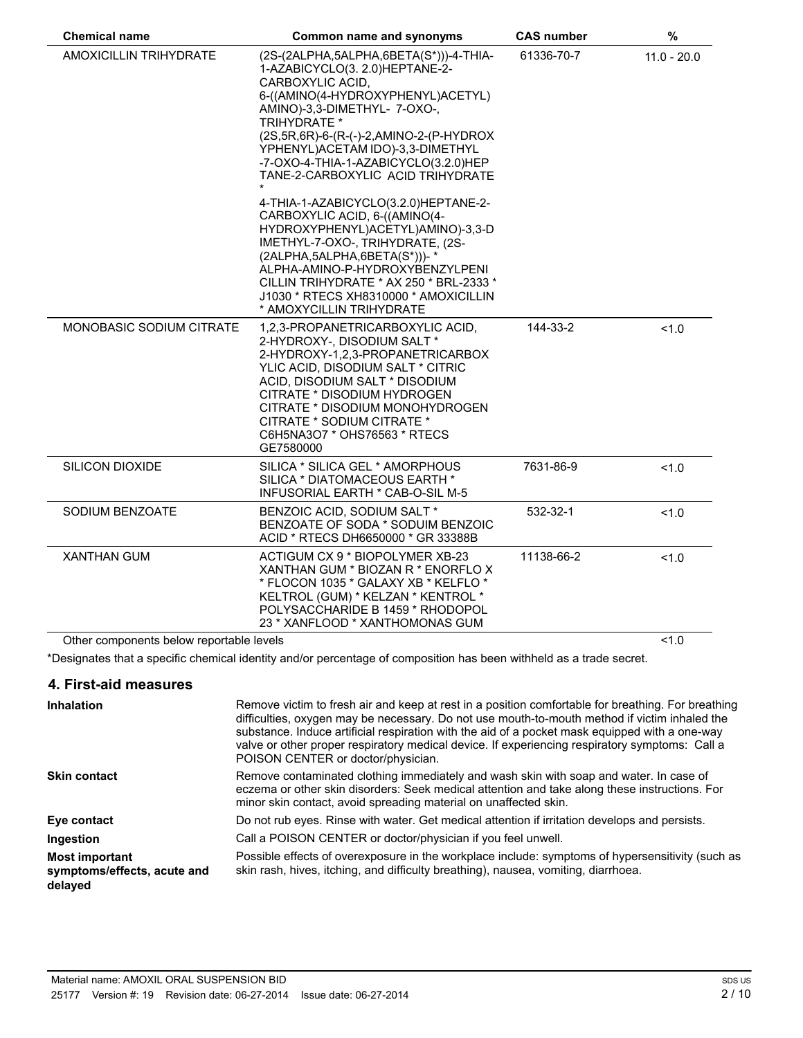| <b>Chemical name</b><br>Common name and synonyms |                                                                                                                                                                                                                                                                                                                                                                                                                                                                                                                                                                                                                                                                                                      | <b>CAS number</b><br>$\%$ |               |
|--------------------------------------------------|------------------------------------------------------------------------------------------------------------------------------------------------------------------------------------------------------------------------------------------------------------------------------------------------------------------------------------------------------------------------------------------------------------------------------------------------------------------------------------------------------------------------------------------------------------------------------------------------------------------------------------------------------------------------------------------------------|---------------------------|---------------|
| AMOXICILLIN TRIHYDRATE                           | (2S-(2ALPHA,5ALPHA,6BETA(S*)))-4-THIA-<br>1-AZABICYCLO(3. 2.0)HEPTANE-2-<br>CARBOXYLIC ACID,<br>6-((AMINO(4-HYDROXYPHENYL)ACETYL)<br>AMINO)-3,3-DIMETHYL- 7-OXO-,<br><b>TRIHYDRATE *</b><br>(2S, 5R, 6R)-6-(R-(-)-2, AMINO-2-(P-HYDROX<br>YPHENYL) ACETAM IDO)-3,3-DIMETHYL<br>-7-OXO-4-THIA-1-AZABICYCLO(3.2.0)HEP<br>TANE-2-CARBOXYLIC ACID TRIHYDRATE<br>4-THIA-1-AZABICYCLO(3.2.0)HEPTANE-2-<br>CARBOXYLIC ACID, 6-((AMINO(4-<br>HYDROXYPHENYL)ACETYL)AMINO)-3,3-D<br>IMETHYL-7-OXO-, TRIHYDRATE, (2S-<br>$(2ALPHA, 5ALPHA, 6BETA(S^*)))$ - *<br>ALPHA-AMINO-P-HYDROXYBENZYLPENI<br>CILLIN TRIHYDRATE * AX 250 * BRL-2333 *<br>J1030 * RTECS XH8310000 * AMOXICILLIN<br>* AMOXYCILLIN TRIHYDRATE | 61336-70-7                | $11.0 - 20.0$ |
| <b>MONOBASIC SODIUM CITRATE</b>                  | 1,2,3-PROPANETRICARBOXYLIC ACID,<br>2-HYDROXY-, DISODIUM SALT *<br>2-HYDROXY-1,2,3-PROPANETRICARBOX<br>YLIC ACID, DISODIUM SALT * CITRIC<br>ACID, DISODIUM SALT * DISODIUM<br>CITRATE * DISODIUM HYDROGEN<br>CITRATE * DISODIUM MONOHYDROGEN<br>CITRATE * SODIUM CITRATE *<br>C6H5NA3O7 * OHS76563 * RTECS<br>GE7580000                                                                                                                                                                                                                                                                                                                                                                              | 144-33-2                  | 1.0           |
| <b>SILICON DIOXIDE</b>                           | SILICA * SILICA GEL * AMORPHOUS<br>SILICA * DIATOMACEOUS EARTH *<br>INFUSORIAL EARTH * CAB-O-SIL M-5                                                                                                                                                                                                                                                                                                                                                                                                                                                                                                                                                                                                 | 7631-86-9                 | 1.0           |
| SODIUM BENZOATE                                  | BENZOIC ACID, SODIUM SALT *<br>BENZOATE OF SODA * SODUIM BENZOIC<br>ACID * RTECS DH6650000 * GR 33388B                                                                                                                                                                                                                                                                                                                                                                                                                                                                                                                                                                                               | 532-32-1                  | 1.0           |
| <b>XANTHAN GUM</b>                               | ACTIGUM CX 9 * BIOPOLYMER XB-23<br>XANTHAN GUM * BIOZAN R * ENORFLO X<br>* FLOCON 1035 * GALAXY XB * KELFLO *<br>KELTROL (GUM) * KELZAN * KENTROL *<br>POLYSACCHARIDE B 1459 * RHODOPOL<br>23 * XANFLOOD * XANTHOMONAS GUM                                                                                                                                                                                                                                                                                                                                                                                                                                                                           | 11138-66-2                | 1.0           |
| Other components below reportable levels         |                                                                                                                                                                                                                                                                                                                                                                                                                                                                                                                                                                                                                                                                                                      |                           | 1.0           |

\*Designates that a specific chemical identity and/or percentage of composition has been withheld as a trade secret.

### **4. First-aid measures**

| <b>Inhalation</b>                                               | Remove victim to fresh air and keep at rest in a position comfortable for breathing. For breathing<br>difficulties, oxygen may be necessary. Do not use mouth-to-mouth method if victim inhaled the<br>substance. Induce artificial respiration with the aid of a pocket mask equipped with a one-way<br>valve or other proper respiratory medical device. If experiencing respiratory symptoms: Call a<br>POISON CENTER or doctor/physician. |
|-----------------------------------------------------------------|-----------------------------------------------------------------------------------------------------------------------------------------------------------------------------------------------------------------------------------------------------------------------------------------------------------------------------------------------------------------------------------------------------------------------------------------------|
| <b>Skin contact</b>                                             | Remove contaminated clothing immediately and wash skin with soap and water. In case of<br>eczema or other skin disorders: Seek medical attention and take along these instructions. For<br>minor skin contact, avoid spreading material on unaffected skin.                                                                                                                                                                                   |
| Eye contact                                                     | Do not rub eyes. Rinse with water. Get medical attention if irritation develops and persists.                                                                                                                                                                                                                                                                                                                                                 |
| Ingestion                                                       | Call a POISON CENTER or doctor/physician if you feel unwell.                                                                                                                                                                                                                                                                                                                                                                                  |
| <b>Most important</b><br>symptoms/effects, acute and<br>delayed | Possible effects of overexposure in the workplace include: symptoms of hypersensitivity (such as<br>skin rash, hives, itching, and difficulty breathing), nausea, vomiting, diarrhoea.                                                                                                                                                                                                                                                        |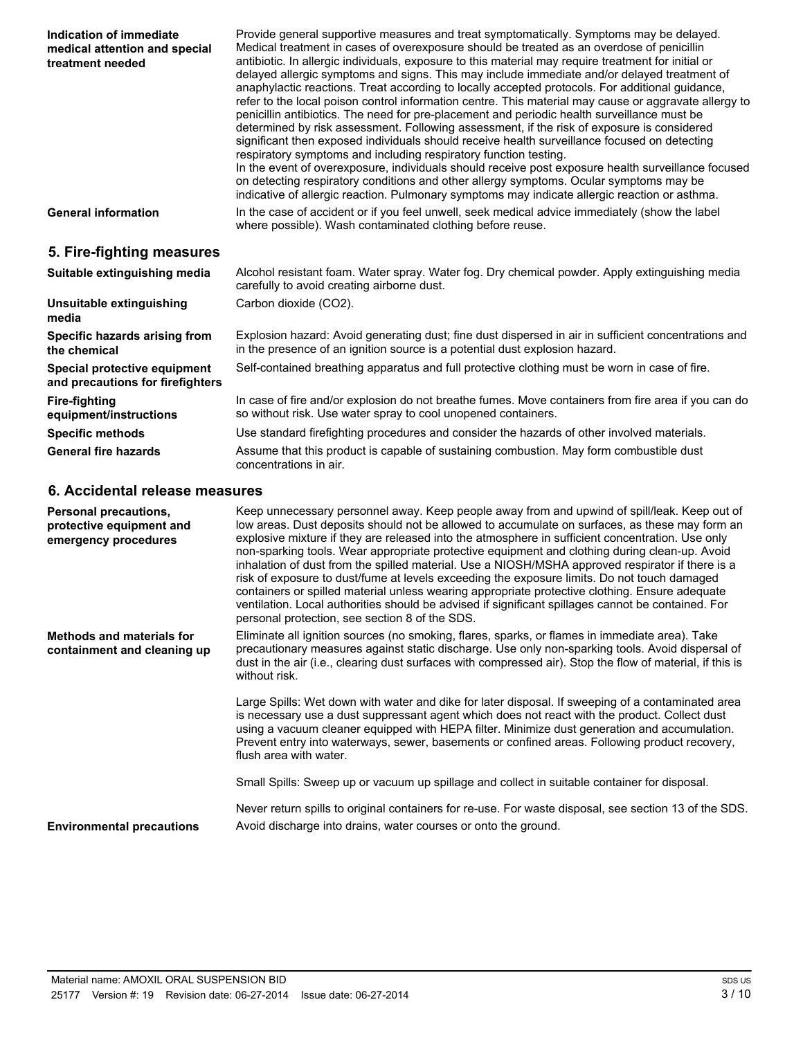| Indication of immediate<br>medical attention and special<br>treatment needed     | Provide general supportive measures and treat symptomatically. Symptoms may be delayed.<br>Medical treatment in cases of overexposure should be treated as an overdose of penicillin<br>antibiotic. In allergic individuals, exposure to this material may require treatment for initial or<br>delayed allergic symptoms and signs. This may include immediate and/or delayed treatment of<br>anaphylactic reactions. Treat according to locally accepted protocols. For additional guidance,<br>refer to the local poison control information centre. This material may cause or aggravate allergy to<br>penicillin antibiotics. The need for pre-placement and periodic health surveillance must be<br>determined by risk assessment. Following assessment, if the risk of exposure is considered<br>significant then exposed individuals should receive health surveillance focused on detecting<br>respiratory symptoms and including respiratory function testing.<br>In the event of overexposure, individuals should receive post exposure health surveillance focused<br>on detecting respiratory conditions and other allergy symptoms. Ocular symptoms may be<br>indicative of allergic reaction. Pulmonary symptoms may indicate allergic reaction or asthma. |  |  |
|----------------------------------------------------------------------------------|--------------------------------------------------------------------------------------------------------------------------------------------------------------------------------------------------------------------------------------------------------------------------------------------------------------------------------------------------------------------------------------------------------------------------------------------------------------------------------------------------------------------------------------------------------------------------------------------------------------------------------------------------------------------------------------------------------------------------------------------------------------------------------------------------------------------------------------------------------------------------------------------------------------------------------------------------------------------------------------------------------------------------------------------------------------------------------------------------------------------------------------------------------------------------------------------------------------------------------------------------------------------------|--|--|
| <b>General information</b>                                                       | In the case of accident or if you feel unwell, seek medical advice immediately (show the label<br>where possible). Wash contaminated clothing before reuse.                                                                                                                                                                                                                                                                                                                                                                                                                                                                                                                                                                                                                                                                                                                                                                                                                                                                                                                                                                                                                                                                                                              |  |  |
| 5. Fire-fighting measures                                                        |                                                                                                                                                                                                                                                                                                                                                                                                                                                                                                                                                                                                                                                                                                                                                                                                                                                                                                                                                                                                                                                                                                                                                                                                                                                                          |  |  |
| Suitable extinguishing media                                                     | Alcohol resistant foam. Water spray. Water fog. Dry chemical powder. Apply extinguishing media<br>carefully to avoid creating airborne dust.                                                                                                                                                                                                                                                                                                                                                                                                                                                                                                                                                                                                                                                                                                                                                                                                                                                                                                                                                                                                                                                                                                                             |  |  |
| Unsuitable extinguishing<br>media                                                | Carbon dioxide (CO2).                                                                                                                                                                                                                                                                                                                                                                                                                                                                                                                                                                                                                                                                                                                                                                                                                                                                                                                                                                                                                                                                                                                                                                                                                                                    |  |  |
| Specific hazards arising from<br>the chemical                                    | Explosion hazard: Avoid generating dust; fine dust dispersed in air in sufficient concentrations and<br>in the presence of an ignition source is a potential dust explosion hazard.                                                                                                                                                                                                                                                                                                                                                                                                                                                                                                                                                                                                                                                                                                                                                                                                                                                                                                                                                                                                                                                                                      |  |  |
| Special protective equipment<br>and precautions for firefighters                 | Self-contained breathing apparatus and full protective clothing must be worn in case of fire.                                                                                                                                                                                                                                                                                                                                                                                                                                                                                                                                                                                                                                                                                                                                                                                                                                                                                                                                                                                                                                                                                                                                                                            |  |  |
| <b>Fire-fighting</b><br>equipment/instructions                                   | In case of fire and/or explosion do not breathe fumes. Move containers from fire area if you can do<br>so without risk. Use water spray to cool unopened containers.                                                                                                                                                                                                                                                                                                                                                                                                                                                                                                                                                                                                                                                                                                                                                                                                                                                                                                                                                                                                                                                                                                     |  |  |
| <b>Specific methods</b>                                                          | Use standard firefighting procedures and consider the hazards of other involved materials.                                                                                                                                                                                                                                                                                                                                                                                                                                                                                                                                                                                                                                                                                                                                                                                                                                                                                                                                                                                                                                                                                                                                                                               |  |  |
| <b>General fire hazards</b>                                                      | Assume that this product is capable of sustaining combustion. May form combustible dust<br>concentrations in air.                                                                                                                                                                                                                                                                                                                                                                                                                                                                                                                                                                                                                                                                                                                                                                                                                                                                                                                                                                                                                                                                                                                                                        |  |  |
| 6. Accidental release measures                                                   |                                                                                                                                                                                                                                                                                                                                                                                                                                                                                                                                                                                                                                                                                                                                                                                                                                                                                                                                                                                                                                                                                                                                                                                                                                                                          |  |  |
| <b>Personal precautions,</b><br>protective equipment and<br>emergency procedures | Keep unnecessary personnel away. Keep people away from and upwind of spill/leak. Keep out of<br>low areas. Dust deposits should not be allowed to accumulate on surfaces, as these may form an<br>explosive mixture if they are released into the atmosphere in sufficient concentration. Use only<br>non-sparking tools. Wear appropriate protective equipment and clothing during clean-up. Avoid<br>inhalation of dust from the spilled material. Use a NIOSH/MSHA approved respirator if there is a<br>risk of exposure to dust/fume at levels exceeding the exposure limits. Do not touch damaged<br>containers or spilled material unless wearing appropriate protective clothing. Ensure adequate                                                                                                                                                                                                                                                                                                                                                                                                                                                                                                                                                                 |  |  |

ventilation. Local authorities should be advised if significant spillages cannot be contained. For personal protection, see section 8 of the SDS. **Methods and materials for containment and cleaning up** Eliminate all ignition sources (no smoking, flares, sparks, or flames in immediate area). Take precautionary measures against static discharge. Use only non-sparking tools. Avoid dispersal of dust in the air (i.e., clearing dust surfaces with compressed air). Stop the flow of material, if this is without risk.

> Large Spills: Wet down with water and dike for later disposal. If sweeping of a contaminated area is necessary use a dust suppressant agent which does not react with the product. Collect dust using a vacuum cleaner equipped with HEPA filter. Minimize dust generation and accumulation. Prevent entry into waterways, sewer, basements or confined areas. Following product recovery, flush area with water.

Small Spills: Sweep up or vacuum up spillage and collect in suitable container for disposal.

Never return spills to original containers for re-use. For waste disposal, see section 13 of the SDS. **Environmental precautions** Avoid discharge into drains, water courses or onto the ground.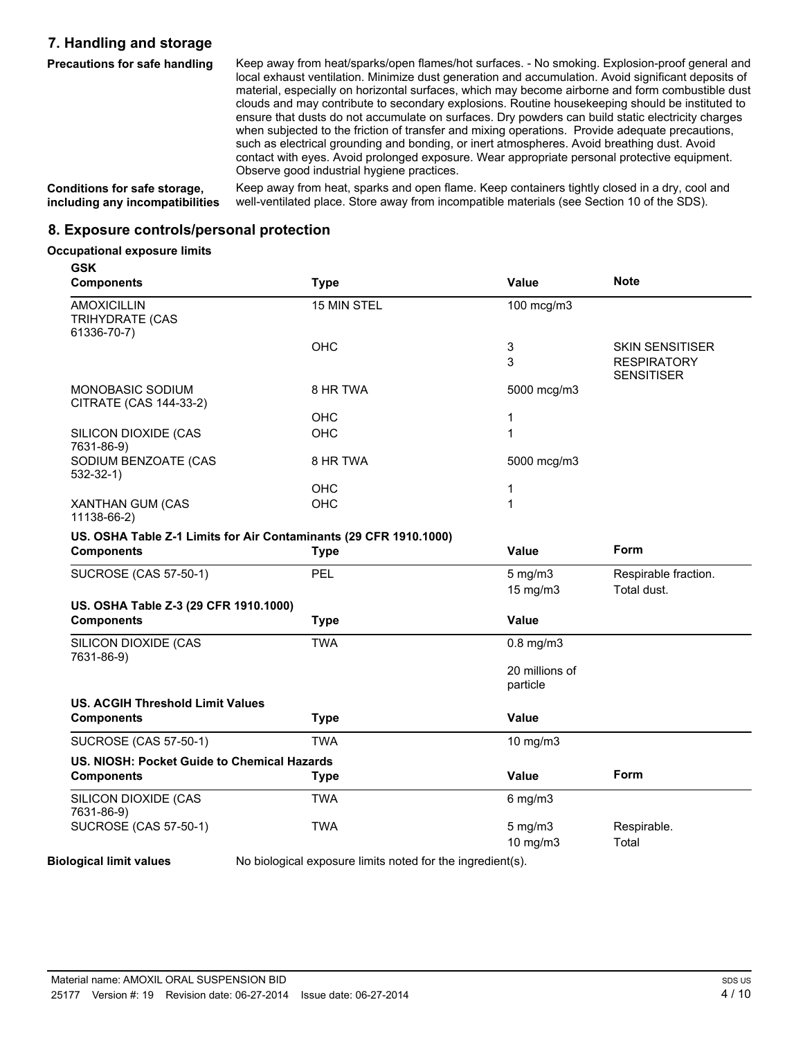### **7. Handling and storage**

**Precautions for safe handling** Keep away from heat/sparks/open flames/hot surfaces. - No smoking. Explosion-proof general and local exhaust ventilation. Minimize dust generation and accumulation. Avoid significant deposits of material, especially on horizontal surfaces, which may become airborne and form combustible dust clouds and may contribute to secondary explosions. Routine housekeeping should be instituted to ensure that dusts do not accumulate on surfaces. Dry powders can build static electricity charges when subjected to the friction of transfer and mixing operations. Provide adequate precautions, such as electrical grounding and bonding, or inert atmospheres. Avoid breathing dust. Avoid contact with eyes. Avoid prolonged exposure. Wear appropriate personal protective equipment. Observe good industrial hygiene practices.

**Conditions for safe storage, including any incompatibilities**

Keep away from heat, sparks and open flame. Keep containers tightly closed in a dry, cool and well-ventilated place. Store away from incompatible materials (see Section 10 of the SDS).

### **8. Exposure controls/personal protection**

#### **Occupational exposure limits**

| <b>GSK</b><br><b>Components</b>                                   | <b>Type</b> | Value                      | <b>Note</b>                                                       |
|-------------------------------------------------------------------|-------------|----------------------------|-------------------------------------------------------------------|
| <b>AMOXICILLIN</b><br><b>TRIHYDRATE (CAS</b><br>61336-70-7)       | 15 MIN STEL | 100 mcg/m3                 |                                                                   |
|                                                                   | OHC         | 3<br>3                     | <b>SKIN SENSITISER</b><br><b>RESPIRATORY</b><br><b>SENSITISER</b> |
| <b>MONOBASIC SODIUM</b><br>CITRATE (CAS 144-33-2)                 | 8 HR TWA    | 5000 mcg/m3                |                                                                   |
|                                                                   | OHC         | 1                          |                                                                   |
| SILICON DIOXIDE (CAS<br>7631-86-9)                                | OHC         | 1                          |                                                                   |
| SODIUM BENZOATE (CAS<br>$532-32-1)$                               | 8 HR TWA    | 5000 mcg/m3                |                                                                   |
|                                                                   | OHC         | 1                          |                                                                   |
| XANTHAN GUM (CAS<br>11138-66-2)                                   | OHC         | $\mathbf{1}$               |                                                                   |
| US. OSHA Table Z-1 Limits for Air Contaminants (29 CFR 1910.1000) |             |                            |                                                                   |
| <b>Components</b>                                                 | <b>Type</b> | Value                      | <b>Form</b>                                                       |
| <b>SUCROSE (CAS 57-50-1)</b>                                      | PEL         | $5$ mg/m $3$<br>15 mg/m3   | Respirable fraction.<br>Total dust.                               |
| US. OSHA Table Z-3 (29 CFR 1910.1000)                             |             |                            |                                                                   |
| <b>Components</b>                                                 | <b>Type</b> | Value                      |                                                                   |
| SILICON DIOXIDE (CAS<br>7631-86-9)                                | <b>TWA</b>  | $0.8$ mg/m $3$             |                                                                   |
|                                                                   |             | 20 millions of<br>particle |                                                                   |
| <b>US. ACGIH Threshold Limit Values</b>                           |             |                            |                                                                   |
| <b>Components</b>                                                 | <b>Type</b> | Value                      |                                                                   |
| <b>SUCROSE (CAS 57-50-1)</b>                                      | <b>TWA</b>  | 10 mg/m3                   |                                                                   |
| US. NIOSH: Pocket Guide to Chemical Hazards                       |             |                            |                                                                   |
| <b>Components</b>                                                 | <b>Type</b> | Value                      | Form                                                              |
| SILICON DIOXIDE (CAS<br>7631-86-9)                                | <b>TWA</b>  | $6$ mg/m $3$               |                                                                   |
| <b>SUCROSE (CAS 57-50-1)</b>                                      | <b>TWA</b>  | $5$ mg/m $3$<br>10 mg/m3   | Respirable.<br>Total                                              |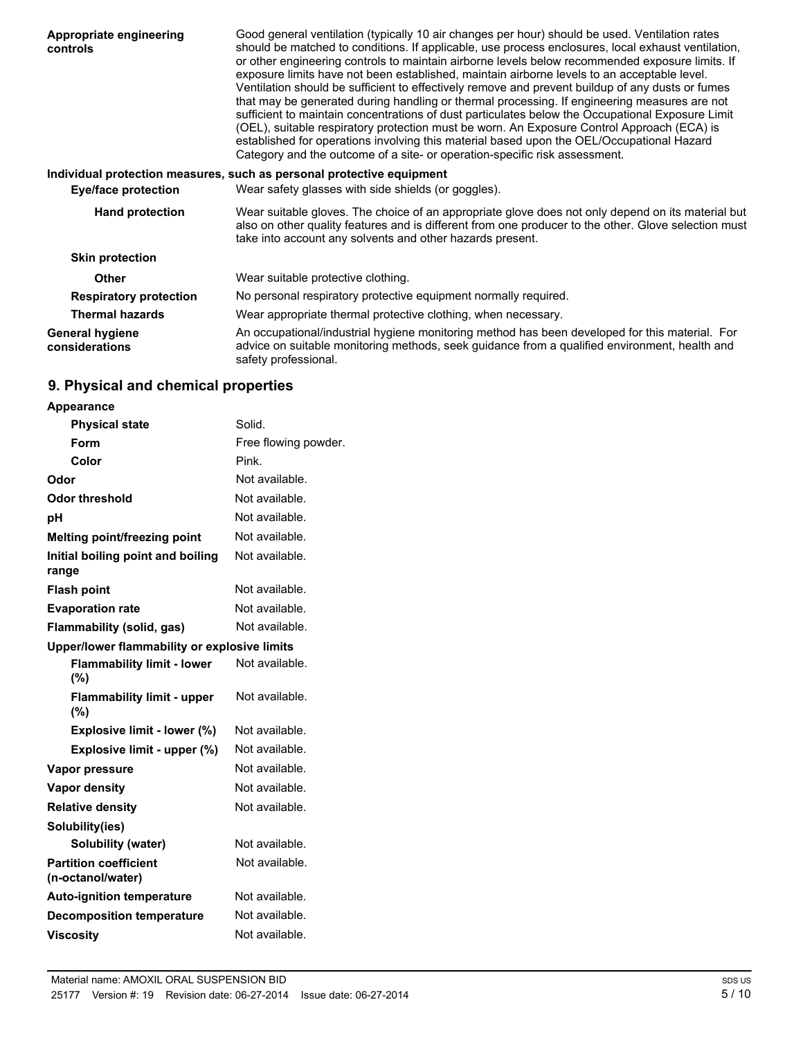| Appropriate engineering<br>controls      | Good general ventilation (typically 10 air changes per hour) should be used. Ventilation rates<br>should be matched to conditions. If applicable, use process enclosures, local exhaust ventilation,<br>or other engineering controls to maintain airborne levels below recommended exposure limits. If<br>exposure limits have not been established, maintain airborne levels to an acceptable level.<br>Ventilation should be sufficient to effectively remove and prevent buildup of any dusts or fumes<br>that may be generated during handling or thermal processing. If engineering measures are not<br>sufficient to maintain concentrations of dust particulates below the Occupational Exposure Limit<br>(OEL), suitable respiratory protection must be worn. An Exposure Control Approach (ECA) is<br>established for operations involving this material based upon the OEL/Occupational Hazard<br>Category and the outcome of a site- or operation-specific risk assessment. |
|------------------------------------------|-----------------------------------------------------------------------------------------------------------------------------------------------------------------------------------------------------------------------------------------------------------------------------------------------------------------------------------------------------------------------------------------------------------------------------------------------------------------------------------------------------------------------------------------------------------------------------------------------------------------------------------------------------------------------------------------------------------------------------------------------------------------------------------------------------------------------------------------------------------------------------------------------------------------------------------------------------------------------------------------|
|                                          | Individual protection measures, such as personal protective equipment                                                                                                                                                                                                                                                                                                                                                                                                                                                                                                                                                                                                                                                                                                                                                                                                                                                                                                                   |
| <b>Eye/face protection</b>               | Wear safety glasses with side shields (or goggles).                                                                                                                                                                                                                                                                                                                                                                                                                                                                                                                                                                                                                                                                                                                                                                                                                                                                                                                                     |
| <b>Hand protection</b>                   | Wear suitable gloves. The choice of an appropriate glove does not only depend on its material but<br>also on other quality features and is different from one producer to the other. Glove selection must<br>take into account any solvents and other hazards present.                                                                                                                                                                                                                                                                                                                                                                                                                                                                                                                                                                                                                                                                                                                  |
| <b>Skin protection</b>                   |                                                                                                                                                                                                                                                                                                                                                                                                                                                                                                                                                                                                                                                                                                                                                                                                                                                                                                                                                                                         |
| <b>Other</b>                             | Wear suitable protective clothing.                                                                                                                                                                                                                                                                                                                                                                                                                                                                                                                                                                                                                                                                                                                                                                                                                                                                                                                                                      |
| <b>Respiratory protection</b>            | No personal respiratory protective equipment normally required.                                                                                                                                                                                                                                                                                                                                                                                                                                                                                                                                                                                                                                                                                                                                                                                                                                                                                                                         |
| <b>Thermal hazards</b>                   | Wear appropriate thermal protective clothing, when necessary.                                                                                                                                                                                                                                                                                                                                                                                                                                                                                                                                                                                                                                                                                                                                                                                                                                                                                                                           |
| <b>General hygiene</b><br>considerations | An occupational/industrial hygiene monitoring method has been developed for this material. For<br>advice on suitable monitoring methods, seek guidance from a qualified environment, health and<br>safety professional.                                                                                                                                                                                                                                                                                                                                                                                                                                                                                                                                                                                                                                                                                                                                                                 |

## **9. Physical and chemical properties**

| <b>Appearance</b>                                 |                      |  |
|---------------------------------------------------|----------------------|--|
| <b>Physical state</b>                             | Solid.               |  |
| Form                                              | Free flowing powder. |  |
| Color                                             | Pink.                |  |
| Odor                                              | Not available.       |  |
| Odor threshold                                    | Not available.       |  |
| рH                                                | Not available.       |  |
| Melting point/freezing point                      | Not available.       |  |
| Initial boiling point and boiling<br>range        | Not available.       |  |
| <b>Flash point</b>                                | Not available.       |  |
| <b>Evaporation rate</b>                           | Not available.       |  |
| Flammability (solid, gas)                         | Not available.       |  |
| Upper/lower flammability or explosive limits      |                      |  |
| <b>Flammability limit - lower</b><br>(%)          | Not available.       |  |
| <b>Flammability limit - upper</b><br>(%)          | Not available.       |  |
| Explosive limit - lower (%)                       | Not available.       |  |
| Explosive limit - upper (%)                       | Not available.       |  |
| Vapor pressure                                    | Not available.       |  |
| Vapor density                                     | Not available.       |  |
| <b>Relative density</b>                           | Not available.       |  |
| Solubility(ies)                                   |                      |  |
| <b>Solubility (water)</b>                         | Not available.       |  |
| <b>Partition coefficient</b><br>(n-octanol/water) | Not available.       |  |
| <b>Auto-ignition temperature</b>                  | Not available.       |  |
| <b>Decomposition temperature</b>                  | Not available.       |  |
| <b>Viscosity</b>                                  | Not available.       |  |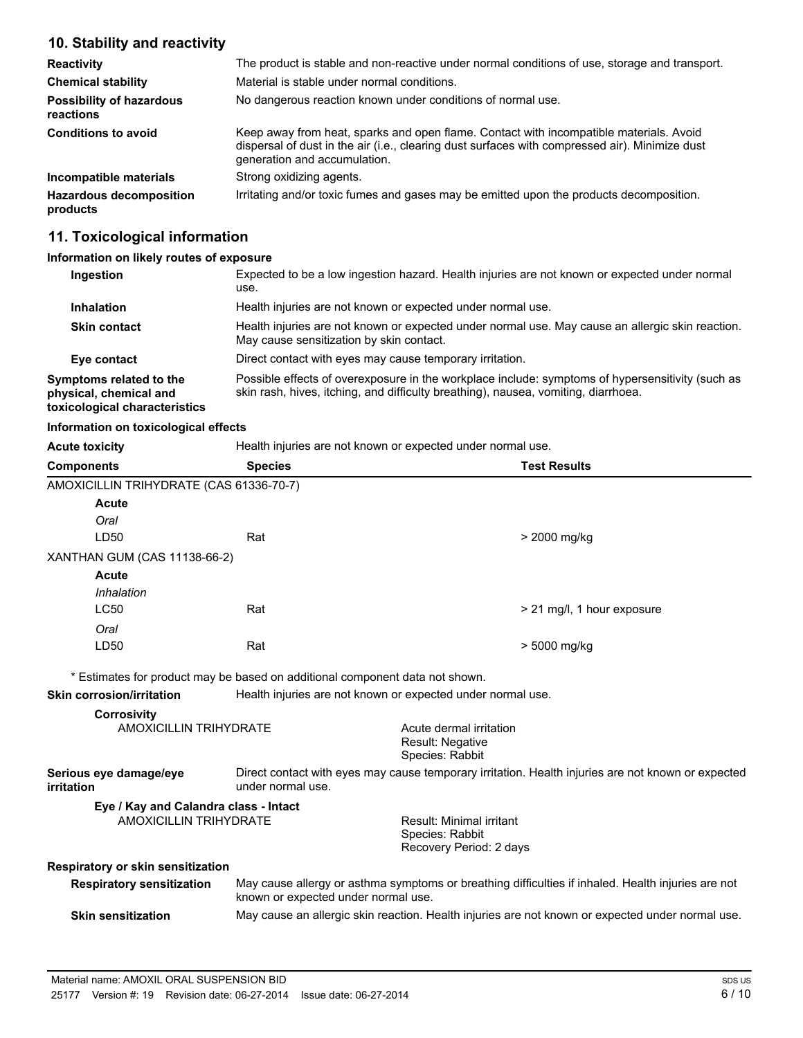### **10. Stability and reactivity**

| <b>Reactivity</b>                            | The product is stable and non-reactive under normal conditions of use, storage and transport.                                                                                                                            |
|----------------------------------------------|--------------------------------------------------------------------------------------------------------------------------------------------------------------------------------------------------------------------------|
| <b>Chemical stability</b>                    | Material is stable under normal conditions.                                                                                                                                                                              |
| <b>Possibility of hazardous</b><br>reactions | No dangerous reaction known under conditions of normal use.                                                                                                                                                              |
| <b>Conditions to avoid</b>                   | Keep away from heat, sparks and open flame. Contact with incompatible materials. Avoid<br>dispersal of dust in the air (i.e., clearing dust surfaces with compressed air). Minimize dust<br>generation and accumulation. |
| Incompatible materials                       | Strong oxidizing agents.                                                                                                                                                                                                 |
| <b>Hazardous decomposition</b><br>products   | Irritating and/or toxic fumes and gases may be emitted upon the products decomposition.                                                                                                                                  |

### **11. Toxicological information**

### **Information on likely routes of exposure**

| Ingestion                                                                          | Expected to be a low ingestion hazard. Health injuries are not known or expected under normal<br>use.                                                                                  |
|------------------------------------------------------------------------------------|----------------------------------------------------------------------------------------------------------------------------------------------------------------------------------------|
| <b>Inhalation</b>                                                                  | Health injuries are not known or expected under normal use.                                                                                                                            |
| <b>Skin contact</b>                                                                | Health injuries are not known or expected under normal use. May cause an allergic skin reaction.<br>May cause sensitization by skin contact.                                           |
| Eye contact                                                                        | Direct contact with eyes may cause temporary irritation.                                                                                                                               |
| Symptoms related to the<br>physical, chemical and<br>toxicological characteristics | Possible effects of overexposure in the workplace include: symptoms of hypersensitivity (such as<br>skin rash, hives, itching, and difficulty breathing), nausea, vomiting, diarrhoea. |

### **Information on toxicological effects**

**Acute toxicity** 

| Health injuries are not known or expected under normal use. |
|-------------------------------------------------------------|
|-------------------------------------------------------------|

| <b>Components</b>                                   | <b>Species</b>                                                                                                                            | <b>Test Results</b>                        |
|-----------------------------------------------------|-------------------------------------------------------------------------------------------------------------------------------------------|--------------------------------------------|
| AMOXICILLIN TRIHYDRATE (CAS 61336-70-7)             |                                                                                                                                           |                                            |
| Acute                                               |                                                                                                                                           |                                            |
| Oral                                                |                                                                                                                                           |                                            |
| LD50                                                | Rat                                                                                                                                       | > 2000 mg/kg                               |
| XANTHAN GUM (CAS 11138-66-2)                        |                                                                                                                                           |                                            |
| Acute                                               |                                                                                                                                           |                                            |
| Inhalation                                          |                                                                                                                                           |                                            |
| <b>LC50</b>                                         | Rat                                                                                                                                       | > 21 mg/l, 1 hour exposure                 |
| Oral                                                |                                                                                                                                           |                                            |
| LD50                                                | Rat                                                                                                                                       | > 5000 mg/kg                               |
|                                                     |                                                                                                                                           |                                            |
| Skin corrosion/irritation                           | * Estimates for product may be based on additional component data not shown.                                                              |                                            |
|                                                     | Health injuries are not known or expected under normal use.                                                                               |                                            |
| <b>Corrosivity</b><br><b>AMOXICILLIN TRIHYDRATE</b> |                                                                                                                                           | Acute dermal irritation                    |
|                                                     |                                                                                                                                           | <b>Result: Negative</b><br>Species: Rabbit |
| Serious eye damage/eye<br>irritation                | Direct contact with eyes may cause temporary irritation. Health injuries are not known or expected<br>under normal use.                   |                                            |
| Eye / Kay and Calandra class - Intact               |                                                                                                                                           |                                            |
| <b>AMOXICILLIN TRIHYDRATE</b>                       |                                                                                                                                           | Result: Minimal irritant                   |
|                                                     |                                                                                                                                           | Species: Rabbit<br>Recovery Period: 2 days |
| Respiratory or skin sensitization                   |                                                                                                                                           |                                            |
| <b>Respiratory sensitization</b>                    | May cause allergy or asthma symptoms or breathing difficulties if inhaled. Health injuries are not<br>known or expected under normal use. |                                            |
| <b>Skin sensitization</b>                           | May cause an allergic skin reaction. Health injuries are not known or expected under normal use.                                          |                                            |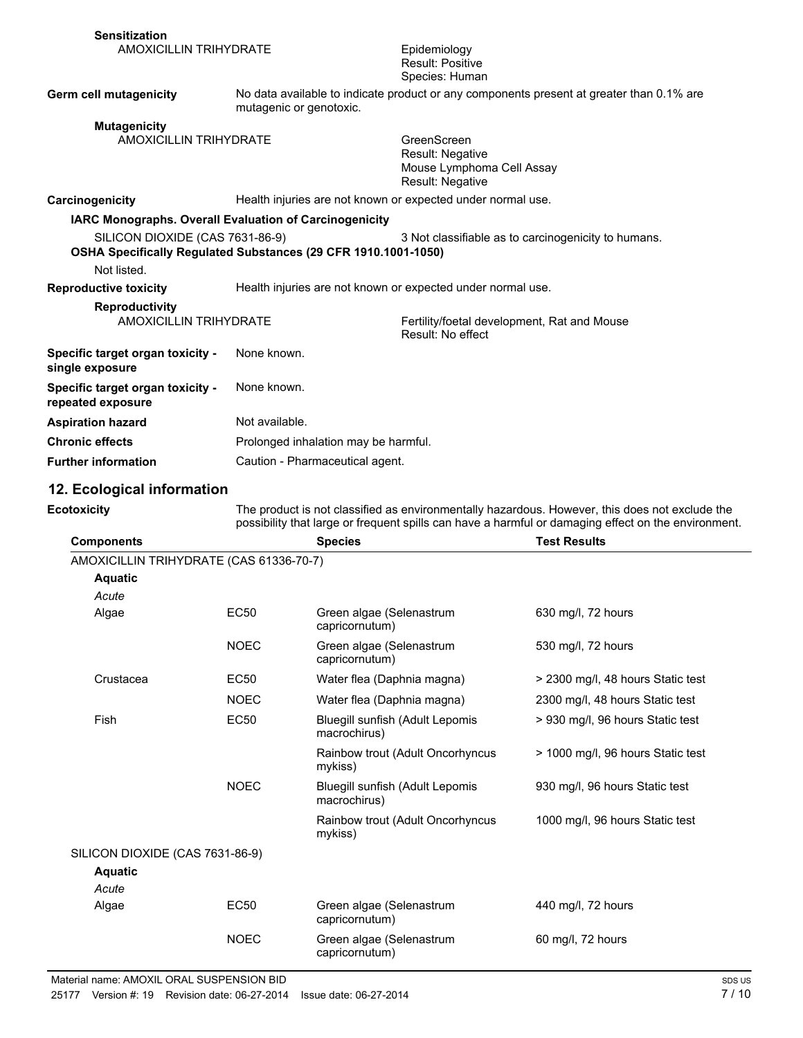| <b>Sensitization</b><br><b>AMOXICILLIN TRIHYDRATE</b>          |                                                                | Epidemiology<br><b>Result: Positive</b><br>Species: Human                                |
|----------------------------------------------------------------|----------------------------------------------------------------|------------------------------------------------------------------------------------------|
| Germ cell mutagenicity                                         | mutagenic or genotoxic.                                        | No data available to indicate product or any components present at greater than 0.1% are |
| <b>Mutagenicity</b><br><b>AMOXICILLIN TRIHYDRATE</b>           |                                                                | GreenScreen<br>Result: Negative<br>Mouse Lymphoma Cell Assay<br>Result: Negative         |
| Carcinogenicity                                                | Health injuries are not known or expected under normal use.    |                                                                                          |
| <b>IARC Monographs. Overall Evaluation of Carcinogenicity</b>  |                                                                |                                                                                          |
| SILICON DIOXIDE (CAS 7631-86-9)<br>Not listed.                 | OSHA Specifically Regulated Substances (29 CFR 1910.1001-1050) | 3 Not classifiable as to carcinogenicity to humans.                                      |
| <b>Reproductive toxicity</b>                                   | Health injuries are not known or expected under normal use.    |                                                                                          |
| <b>Reproductivity</b><br><b>AMOXICILLIN TRIHYDRATE</b>         |                                                                | Fertility/foetal development, Rat and Mouse<br>Result: No effect                         |
| Specific target organ toxicity -<br>single exposure            | None known.                                                    |                                                                                          |
| Specific target organ toxicity -<br>repeated exposure          | None known.                                                    |                                                                                          |
| <b>Aspiration hazard</b>                                       | Not available.                                                 |                                                                                          |
| <b>Chronic effects</b><br>Prolonged inhalation may be harmful. |                                                                |                                                                                          |
|                                                                |                                                                |                                                                                          |

**Further information** Caution - Pharmaceutical agent.

### **12. Ecological information**

| <b>Ecotoxicity</b>                      | The product is not classified as environmentally hazardous. However, this does not exclude the<br>possibility that large or frequent spills can have a harmful or damaging effect on the environment. |                                                 |                                   |
|-----------------------------------------|-------------------------------------------------------------------------------------------------------------------------------------------------------------------------------------------------------|-------------------------------------------------|-----------------------------------|
| <b>Components</b>                       |                                                                                                                                                                                                       | <b>Species</b>                                  | <b>Test Results</b>               |
| AMOXICILLIN TRIHYDRATE (CAS 61336-70-7) |                                                                                                                                                                                                       |                                                 |                                   |
| <b>Aquatic</b>                          |                                                                                                                                                                                                       |                                                 |                                   |
| Acute                                   |                                                                                                                                                                                                       |                                                 |                                   |
| Algae                                   | <b>EC50</b>                                                                                                                                                                                           | Green algae (Selenastrum<br>capricornutum)      | 630 mg/l, 72 hours                |
|                                         | <b>NOEC</b>                                                                                                                                                                                           | Green algae (Selenastrum<br>capricornutum)      | 530 mg/l, 72 hours                |
| Crustacea                               | <b>EC50</b>                                                                                                                                                                                           | Water flea (Daphnia magna)                      | > 2300 mg/l, 48 hours Static test |
|                                         | <b>NOEC</b>                                                                                                                                                                                           | Water flea (Daphnia magna)                      | 2300 mg/l, 48 hours Static test   |
| Fish                                    | <b>EC50</b>                                                                                                                                                                                           | Bluegill sunfish (Adult Lepomis<br>macrochirus) | > 930 mg/l, 96 hours Static test  |
|                                         |                                                                                                                                                                                                       | Rainbow trout (Adult Oncorhyncus<br>mykiss)     | > 1000 mg/l, 96 hours Static test |
|                                         | <b>NOEC</b>                                                                                                                                                                                           | Bluegill sunfish (Adult Lepomis<br>macrochirus) | 930 mg/l, 96 hours Static test    |
|                                         |                                                                                                                                                                                                       | Rainbow trout (Adult Oncorhyncus<br>mykiss)     | 1000 mg/l, 96 hours Static test   |
| SILICON DIOXIDE (CAS 7631-86-9)         |                                                                                                                                                                                                       |                                                 |                                   |
| <b>Aquatic</b>                          |                                                                                                                                                                                                       |                                                 |                                   |
| Acute                                   |                                                                                                                                                                                                       |                                                 |                                   |
| Algae                                   | <b>EC50</b>                                                                                                                                                                                           | Green algae (Selenastrum<br>capricornutum)      | 440 mg/l, 72 hours                |
|                                         | <b>NOEC</b>                                                                                                                                                                                           | Green algae (Selenastrum<br>capricornutum)      | 60 mg/l, 72 hours                 |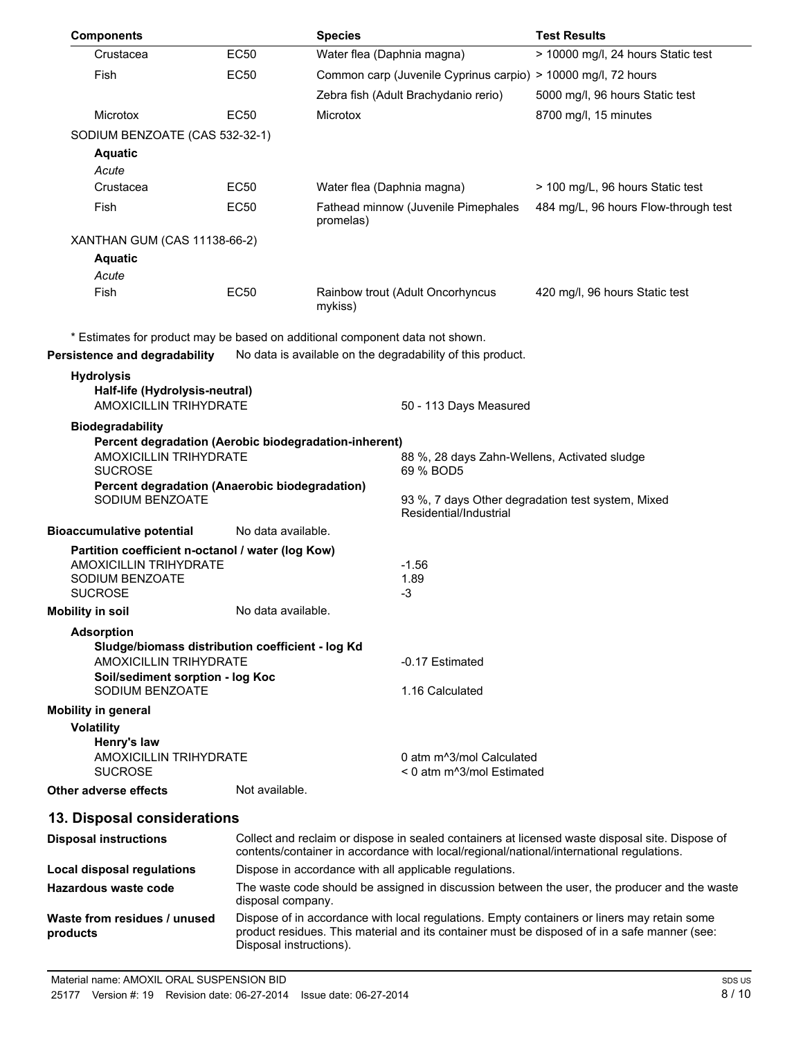| <b>Components</b>                                                                                     |                                                                                                                   | <b>Species</b>             |                                                                    | <b>Test Results</b>                                                                                                                                                                         |
|-------------------------------------------------------------------------------------------------------|-------------------------------------------------------------------------------------------------------------------|----------------------------|--------------------------------------------------------------------|---------------------------------------------------------------------------------------------------------------------------------------------------------------------------------------------|
| Crustacea                                                                                             | EC50                                                                                                              | Water flea (Daphnia magna) |                                                                    | > 10000 mg/l, 24 hours Static test                                                                                                                                                          |
| Fish                                                                                                  | EC50                                                                                                              |                            | Common carp (Juvenile Cyprinus carpio) > 10000 mg/l, 72 hours      |                                                                                                                                                                                             |
|                                                                                                       |                                                                                                                   |                            | Zebra fish (Adult Brachydanio rerio)                               | 5000 mg/l, 96 hours Static test                                                                                                                                                             |
| Microtox                                                                                              | EC50                                                                                                              | Microtox                   |                                                                    | 8700 mg/l, 15 minutes                                                                                                                                                                       |
| SODIUM BENZOATE (CAS 532-32-1)                                                                        |                                                                                                                   |                            |                                                                    |                                                                                                                                                                                             |
| <b>Aquatic</b>                                                                                        |                                                                                                                   |                            |                                                                    |                                                                                                                                                                                             |
| Acute                                                                                                 |                                                                                                                   |                            |                                                                    |                                                                                                                                                                                             |
| Crustacea                                                                                             | EC50                                                                                                              | Water flea (Daphnia magna) |                                                                    | > 100 mg/L, 96 hours Static test                                                                                                                                                            |
| Fish                                                                                                  | <b>EC50</b>                                                                                                       | promelas)                  | Fathead minnow (Juvenile Pimephales                                | 484 mg/L, 96 hours Flow-through test                                                                                                                                                        |
| XANTHAN GUM (CAS 11138-66-2)                                                                          |                                                                                                                   |                            |                                                                    |                                                                                                                                                                                             |
| <b>Aquatic</b>                                                                                        |                                                                                                                   |                            |                                                                    |                                                                                                                                                                                             |
| Acute                                                                                                 |                                                                                                                   |                            |                                                                    |                                                                                                                                                                                             |
| Fish                                                                                                  | <b>EC50</b>                                                                                                       | mykiss)                    | Rainbow trout (Adult Oncorhyncus                                   | 420 mg/l, 96 hours Static test                                                                                                                                                              |
| * Estimates for product may be based on additional component data not shown.                          |                                                                                                                   |                            |                                                                    |                                                                                                                                                                                             |
| Persistence and degradability                                                                         |                                                                                                                   |                            | No data is available on the degradability of this product.         |                                                                                                                                                                                             |
| <b>Hydrolysis</b><br>Half-life (Hydrolysis-neutral)                                                   |                                                                                                                   |                            |                                                                    |                                                                                                                                                                                             |
| <b>AMOXICILLIN TRIHYDRATE</b>                                                                         |                                                                                                                   |                            | 50 - 113 Days Measured                                             |                                                                                                                                                                                             |
| <b>Biodegradability</b><br>Percent degradation (Aerobic biodegradation-inherent)                      |                                                                                                                   |                            |                                                                    |                                                                                                                                                                                             |
| <b>AMOXICILLIN TRIHYDRATE</b>                                                                         |                                                                                                                   |                            | 88 %, 28 days Zahn-Wellens, Activated sludge                       |                                                                                                                                                                                             |
| <b>SUCROSE</b>                                                                                        |                                                                                                                   |                            | 69 % BOD5                                                          |                                                                                                                                                                                             |
| Percent degradation (Anaerobic biodegradation)<br>SODIUM BENZOATE                                     |                                                                                                                   |                            | Residential/Industrial                                             | 93 %, 7 days Other degradation test system, Mixed                                                                                                                                           |
| <b>Bioaccumulative potential</b>                                                                      | No data available.                                                                                                |                            |                                                                    |                                                                                                                                                                                             |
| Partition coefficient n-octanol / water (log Kow)<br><b>AMOXICILLIN TRIHYDRATE</b><br>SODIUM BENZOATE |                                                                                                                   |                            | $-1.56$<br>1.89                                                    |                                                                                                                                                                                             |
| <b>SUCROSE</b>                                                                                        |                                                                                                                   |                            | $-3$                                                               |                                                                                                                                                                                             |
| <b>Mobility in soil</b>                                                                               | No data available.                                                                                                |                            |                                                                    |                                                                                                                                                                                             |
| <b>Adsorption</b><br>Sludge/biomass distribution coefficient - log Kd                                 |                                                                                                                   |                            |                                                                    |                                                                                                                                                                                             |
| <b>AMOXICILLIN TRIHYDRATE</b>                                                                         |                                                                                                                   |                            | -0.17 Estimated                                                    |                                                                                                                                                                                             |
| Soil/sediment sorption - log Koc<br>SODIUM BENZOATE                                                   |                                                                                                                   |                            | 1.16 Calculated                                                    |                                                                                                                                                                                             |
| <b>Mobility in general</b>                                                                            |                                                                                                                   |                            |                                                                    |                                                                                                                                                                                             |
| <b>Volatility</b>                                                                                     |                                                                                                                   |                            |                                                                    |                                                                                                                                                                                             |
| Henry's law                                                                                           |                                                                                                                   |                            |                                                                    |                                                                                                                                                                                             |
| AMOXICILLIN TRIHYDRATE<br><b>SUCROSE</b>                                                              |                                                                                                                   |                            | 0 atm m <sup>^3</sup> /mol Calculated<br>< 0 atm m^3/mol Estimated |                                                                                                                                                                                             |
| Other adverse effects                                                                                 | Not available.                                                                                                    |                            |                                                                    |                                                                                                                                                                                             |
| 13. Disposal considerations                                                                           |                                                                                                                   |                            |                                                                    |                                                                                                                                                                                             |
| <b>Disposal instructions</b>                                                                          |                                                                                                                   |                            |                                                                    | Collect and reclaim or dispose in sealed containers at licensed waste disposal site. Dispose of<br>contents/container in accordance with local/regional/national/international regulations. |
| <b>Local disposal regulations</b>                                                                     |                                                                                                                   |                            | Dispose in accordance with all applicable regulations.             |                                                                                                                                                                                             |
| <b>Hazardous waste code</b>                                                                           | The waste code should be assigned in discussion between the user, the producer and the waste<br>disposal company. |                            |                                                                    |                                                                                                                                                                                             |
| Waste from residues / unused<br>products                                                              | Disposal instructions).                                                                                           |                            |                                                                    | Dispose of in accordance with local regulations. Empty containers or liners may retain some<br>product residues. This material and its container must be disposed of in a safe manner (see: |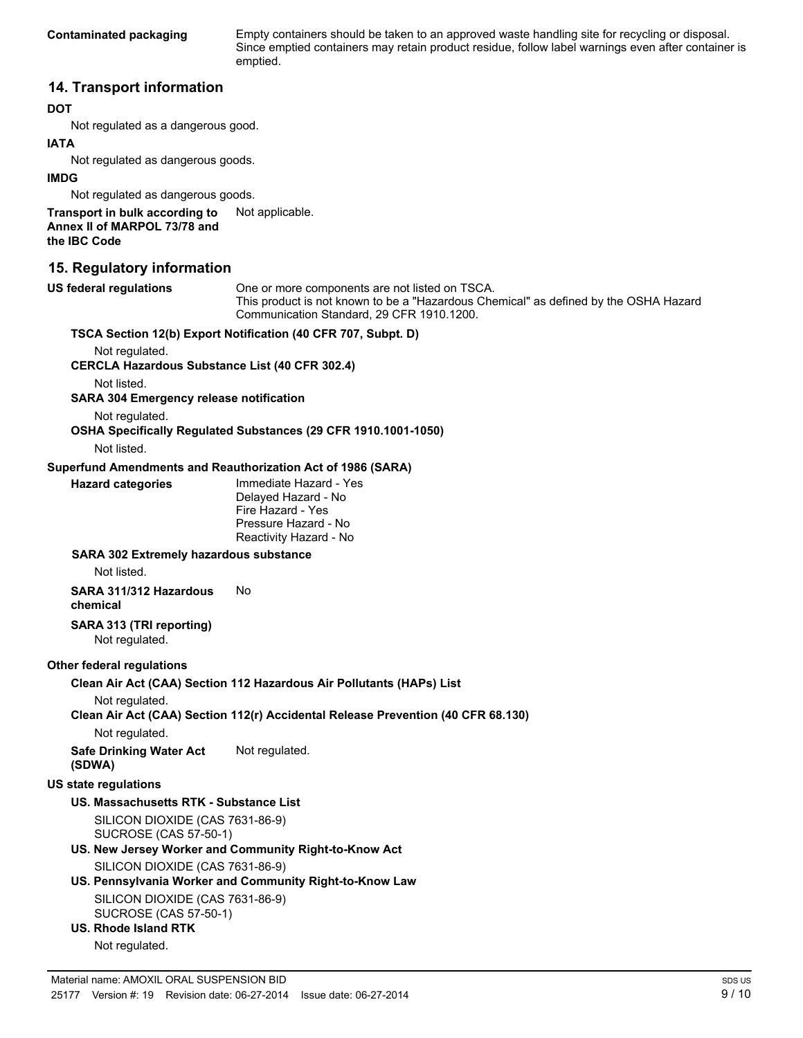**Contaminated packaging** Empty containers should be taken to an approved waste handling site for recycling or disposal. Since emptied containers may retain product residue, follow label warnings even after container is emptied.

### **14. Transport information**

#### **DOT**

Not regulated as a dangerous good.

#### **IATA**

Not regulated as dangerous goods.

#### **IMDG**

Not regulated as dangerous goods.

**Transport in bulk according to** Not applicable. **Annex II of MARPOL 73/78 and the IBC Code**

### **15. Regulatory information**

**US federal regulations** One or more components are not listed on TSCA. This product is not known to be a "Hazardous Chemical" as defined by the OSHA Hazard Communication Standard, 29 CFR 1910.1200. **TSCA Section 12(b) Export Notification (40 CFR 707, Subpt. D)** Not regulated. **CERCLA Hazardous Substance List (40 CFR 302.4)** Not listed. **SARA 304 Emergency release notification** Not regulated. **OSHA Specifically Regulated Substances (29 CFR 1910.1001-1050)** Not listed. **Superfund Amendments and Reauthorization Act of 1986 (SARA) Hazard categories** Immediate Hazard - Yes

Delayed Hazard - No Fire Hazard - Yes Pressure Hazard - No Reactivity Hazard - No

### **SARA 302 Extremely hazardous substance**

Not listed.

**SARA 311/312 Hazardous chemical** No

**SARA 313 (TRI reporting)** Not regulated.

#### **Other federal regulations**

**Clean Air Act (CAA) Section 112 Hazardous Air Pollutants (HAPs) List**

Not regulated.

**Clean Air Act (CAA) Section 112(r) Accidental Release Prevention (40 CFR 68.130)**

Not regulated.

**Safe Drinking Water Act (SDWA)** Not regulated.

#### **US state regulations**

### **US. Massachusetts RTK - Substance List**

SILICON DIOXIDE (CAS 7631-86-9) SUCROSE (CAS 57-50-1)

### **US. New Jersey Worker and Community Right-to-Know Act**

SILICON DIOXIDE (CAS 7631-86-9)

### **US. Pennsylvania Worker and Community Right-to-Know Law**

SILICON DIOXIDE (CAS 7631-86-9) SUCROSE (CAS 57-50-1)

**US. Rhode Island RTK**

```
Not regulated.
```